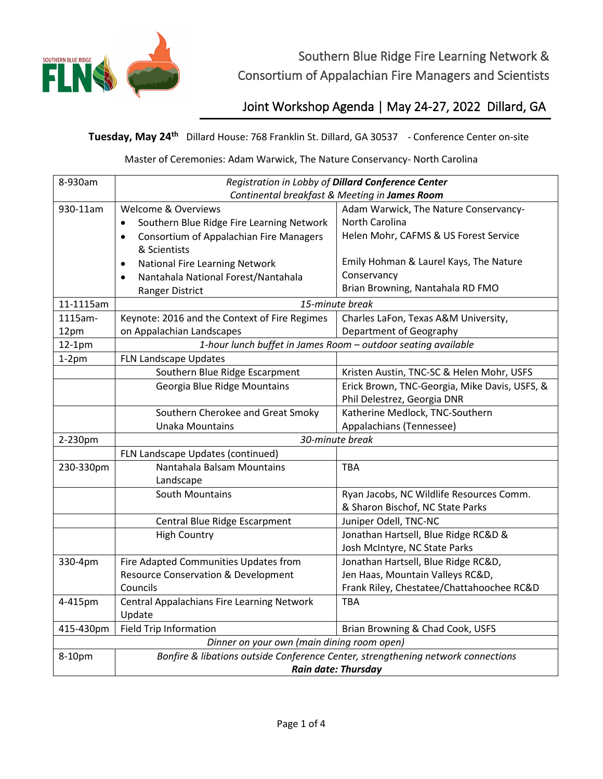

Southern Blue Ridge Fire Learning Network & Consortium of Appalachian Fire Managers and Scientists

Joint Workshop Agenda | May 24-27, 2022 Dillard, GA

**Tuesday, May 24th** Dillard House: 768 Franklin St. Dillard, GA 30537 - Conference Center on-site

Master of Ceremonies: Adam Warwick, The Nature Conservancy- North Carolina

| 8-930am                                    | Registration in Lobby of Dillard Conference Center                               |                                               |  |
|--------------------------------------------|----------------------------------------------------------------------------------|-----------------------------------------------|--|
|                                            | Continental breakfast & Meeting in James Room                                    |                                               |  |
| 930-11am                                   | <b>Welcome &amp; Overviews</b>                                                   | Adam Warwick, The Nature Conservancy-         |  |
|                                            | Southern Blue Ridge Fire Learning Network                                        | North Carolina                                |  |
|                                            | Consortium of Appalachian Fire Managers<br>$\bullet$                             | Helen Mohr, CAFMS & US Forest Service         |  |
|                                            | & Scientists                                                                     |                                               |  |
|                                            | National Fire Learning Network<br>$\bullet$                                      | Emily Hohman & Laurel Kays, The Nature        |  |
|                                            | Nantahala National Forest/Nantahala<br>$\bullet$                                 | Conservancy                                   |  |
|                                            | Ranger District                                                                  | Brian Browning, Nantahala RD FMO              |  |
| 11-1115am                                  | 15-minute break                                                                  |                                               |  |
| 1115am-                                    | Keynote: 2016 and the Context of Fire Regimes                                    | Charles LaFon, Texas A&M University,          |  |
| 12pm                                       | on Appalachian Landscapes                                                        | Department of Geography                       |  |
| $12-1pm$                                   | 1-hour lunch buffet in James Room - outdoor seating available                    |                                               |  |
| $1-2pm$                                    | FLN Landscape Updates                                                            |                                               |  |
|                                            | Southern Blue Ridge Escarpment                                                   | Kristen Austin, TNC-SC & Helen Mohr, USFS     |  |
|                                            | Georgia Blue Ridge Mountains                                                     | Erick Brown, TNC-Georgia, Mike Davis, USFS, & |  |
|                                            |                                                                                  | Phil Delestrez, Georgia DNR                   |  |
|                                            | Southern Cherokee and Great Smoky                                                | Katherine Medlock, TNC-Southern               |  |
|                                            | <b>Unaka Mountains</b>                                                           | Appalachians (Tennessee)                      |  |
| 2-230pm                                    | 30-minute break                                                                  |                                               |  |
|                                            | FLN Landscape Updates (continued)                                                |                                               |  |
| 230-330pm                                  | Nantahala Balsam Mountains                                                       | <b>TBA</b>                                    |  |
|                                            | Landscape                                                                        |                                               |  |
|                                            | <b>South Mountains</b>                                                           | Ryan Jacobs, NC Wildlife Resources Comm.      |  |
|                                            |                                                                                  | & Sharon Bischof, NC State Parks              |  |
|                                            | Central Blue Ridge Escarpment                                                    | Juniper Odell, TNC-NC                         |  |
|                                            | <b>High Country</b>                                                              | Jonathan Hartsell, Blue Ridge RC&D &          |  |
|                                            |                                                                                  | Josh McIntyre, NC State Parks                 |  |
| 330-4pm                                    | Fire Adapted Communities Updates from                                            | Jonathan Hartsell, Blue Ridge RC&D,           |  |
|                                            | <b>Resource Conservation &amp; Development</b>                                   | Jen Haas, Mountain Valleys RC&D,              |  |
|                                            | Councils                                                                         | Frank Riley, Chestatee/Chattahoochee RC&D     |  |
| 4-415pm                                    | Central Appalachians Fire Learning Network                                       | <b>TBA</b>                                    |  |
|                                            | Update                                                                           |                                               |  |
| 415-430pm                                  | <b>Field Trip Information</b>                                                    | Brian Browning & Chad Cook, USFS              |  |
| Dinner on your own (main dining room open) |                                                                                  |                                               |  |
| 8-10pm                                     | Bonfire & libations outside Conference Center, strengthening network connections |                                               |  |
|                                            | <b>Rain date: Thursday</b>                                                       |                                               |  |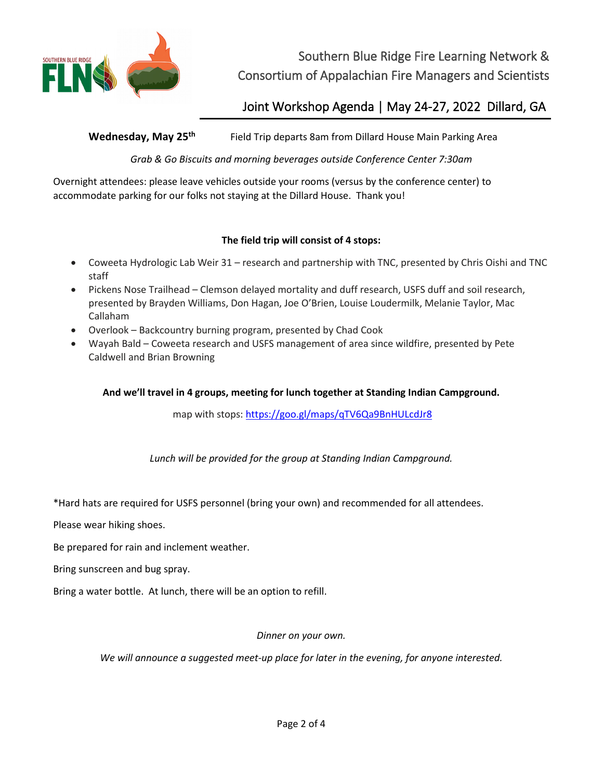

Southern Blue Ridge Fire Learning Network & Consortium of Appalachian Fire Managers and Scientists

Joint Workshop Agenda | May 24-27, 2022 Dillard, GA

Wednesday, May 25<sup>th</sup> Field Trip departs 8am from Dillard House Main Parking Area

*Grab & Go Biscuits and morning beverages outside Conference Center 7:30am*

Overnight attendees: please leave vehicles outside your rooms (versus by the conference center) to accommodate parking for our folks not staying at the Dillard House. Thank you!

## **The field trip will consist of 4 stops:**

- Coweeta Hydrologic Lab Weir 31 research and partnership with TNC, presented by Chris Oishi and TNC staff
- Pickens Nose Trailhead Clemson delayed mortality and duff research, USFS duff and soil research, presented by Brayden Williams, Don Hagan, Joe O'Brien, Louise Loudermilk, Melanie Taylor, Mac Callaham
- Overlook Backcountry burning program, presented by Chad Cook
- Wayah Bald Coweeta research and USFS management of area since wildfire, presented by Pete Caldwell and Brian Browning

## **And we'll travel in 4 groups, meeting for lunch together at Standing Indian Campground.**

map with stops: [https://goo.gl/maps/qTV6Qa9BnHULcdJr8](https://protect-us.mimecast.com/s/i4AuCR6KXgc4DDq7HqOjOz?domain=gcc02.safelinks.protection.outlook.com)

*Lunch will be provided for the group at Standing Indian Campground.*

\*Hard hats are required for USFS personnel (bring your own) and recommended for all attendees.

Please wear hiking shoes.

Be prepared for rain and inclement weather.

Bring sunscreen and bug spray.

Bring a water bottle. At lunch, there will be an option to refill.

*Dinner on your own.* 

*We will announce a suggested meet-up place for later in the evening, for anyone interested.*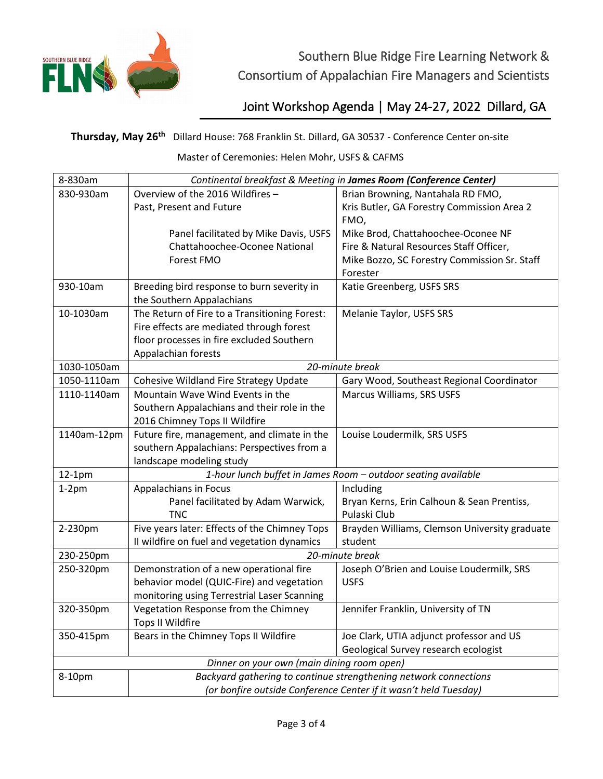

## Joint Workshop Agenda | May 24-27, 2022 Dillard, GA

**Thursday, May 26th** Dillard House: 768 Franklin St. Dillard, GA 30537 - Conference Center on-site

Master of Ceremonies: Helen Mohr, USFS & CAFMS

| 8-830am                                    | Continental breakfast & Meeting in James Room (Conference Center) |                                                               |  |
|--------------------------------------------|-------------------------------------------------------------------|---------------------------------------------------------------|--|
| 830-930am                                  | Overview of the 2016 Wildfires -                                  | Brian Browning, Nantahala RD FMO,                             |  |
|                                            | Past, Present and Future                                          | Kris Butler, GA Forestry Commission Area 2                    |  |
|                                            |                                                                   | FMO,                                                          |  |
|                                            | Panel facilitated by Mike Davis, USFS                             | Mike Brod, Chattahoochee-Oconee NF                            |  |
|                                            | Chattahoochee-Oconee National                                     | Fire & Natural Resources Staff Officer,                       |  |
|                                            | Forest FMO                                                        | Mike Bozzo, SC Forestry Commission Sr. Staff                  |  |
|                                            |                                                                   | Forester                                                      |  |
| 930-10am                                   | Breeding bird response to burn severity in                        | Katie Greenberg, USFS SRS                                     |  |
|                                            | the Southern Appalachians                                         |                                                               |  |
| 10-1030am                                  | The Return of Fire to a Transitioning Forest:                     | Melanie Taylor, USFS SRS                                      |  |
|                                            | Fire effects are mediated through forest                          |                                                               |  |
|                                            | floor processes in fire excluded Southern                         |                                                               |  |
|                                            | Appalachian forests                                               |                                                               |  |
| 1030-1050am                                | 20-minute break                                                   |                                                               |  |
| 1050-1110am                                | Cohesive Wildland Fire Strategy Update                            | Gary Wood, Southeast Regional Coordinator                     |  |
| 1110-1140am                                | Mountain Wave Wind Events in the                                  | Marcus Williams, SRS USFS                                     |  |
|                                            | Southern Appalachians and their role in the                       |                                                               |  |
|                                            | 2016 Chimney Tops II Wildfire                                     |                                                               |  |
| 1140am-12pm                                | Future fire, management, and climate in the                       | Louise Loudermilk, SRS USFS                                   |  |
|                                            | southern Appalachians: Perspectives from a                        |                                                               |  |
|                                            | landscape modeling study                                          |                                                               |  |
| $12-1pm$                                   |                                                                   | 1-hour lunch buffet in James Room - outdoor seating available |  |
| $1-2pm$                                    | Appalachians in Focus                                             | Including                                                     |  |
|                                            | Panel facilitated by Adam Warwick,                                | Bryan Kerns, Erin Calhoun & Sean Prentiss,                    |  |
|                                            | <b>TNC</b>                                                        | Pulaski Club                                                  |  |
| 2-230pm                                    | Five years later: Effects of the Chimney Tops                     | Brayden Williams, Clemson University graduate                 |  |
|                                            | II wildfire on fuel and vegetation dynamics                       | student                                                       |  |
| 230-250pm                                  | 20-minute break                                                   |                                                               |  |
| 250-320pm                                  | Demonstration of a new operational fire                           | Joseph O'Brien and Louise Loudermilk, SRS                     |  |
|                                            | behavior model (QUIC-Fire) and vegetation                         | <b>USFS</b>                                                   |  |
|                                            | monitoring using Terrestrial Laser Scanning                       |                                                               |  |
| 320-350pm                                  | Vegetation Response from the Chimney                              | Jennifer Franklin, University of TN                           |  |
|                                            | Tops II Wildfire                                                  |                                                               |  |
| 350-415pm                                  | Bears in the Chimney Tops II Wildfire                             | Joe Clark, UTIA adjunct professor and US                      |  |
|                                            |                                                                   | Geological Survey research ecologist                          |  |
| Dinner on your own (main dining room open) |                                                                   |                                                               |  |
| 8-10pm                                     | Backyard gathering to continue strengthening network connections  |                                                               |  |
|                                            | (or bonfire outside Conference Center if it wasn't held Tuesday)  |                                                               |  |